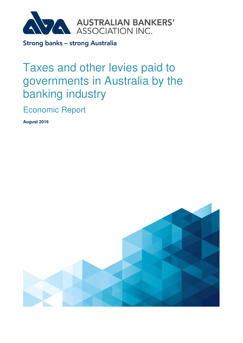

Strong banks - strong Australia

# Taxes and other levies paid to governments in Australia by the banking industry

Economic Report

**August 2016** 

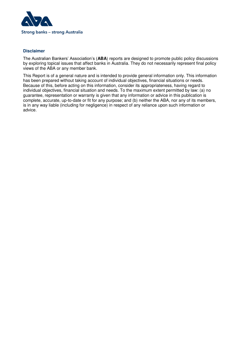

### **Disclaimer**

The Australian Bankers' Association's (**ABA**) reports are designed to promote public policy discussions by exploring topical issues that affect banks in Australia. They do not necessarily represent final policy views of the ABA or any member bank.

This Report is of a general nature and is intended to provide general information only. This information has been prepared without taking account of individual objectives, financial situations or needs. Because of this, before acting on this information, consider its appropriateness, having regard to individual objectives, financial situation and needs. To the maximum extent permitted by law: (a) no guarantee, representation or warranty is given that any information or advice in this publication is complete, accurate, up-to-date or fit for any purpose; and (b) neither the ABA, nor any of its members, is in any way liable (including for negligence) in respect of any reliance upon such information or advice.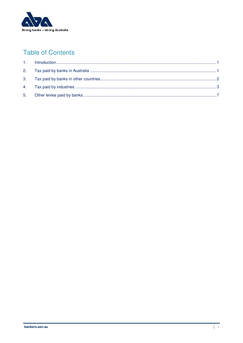

# **Table of Contents**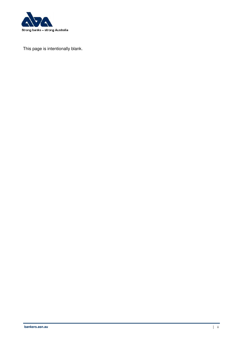

This page is intentionally blank.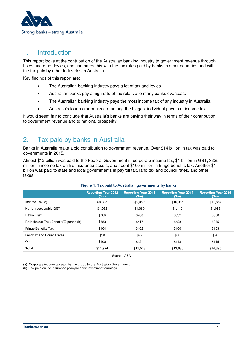

### <span id="page-4-0"></span>1. Introduction

This report looks at the contribution of the Australian banking industry to government revenue through taxes and other levies, and compares this with the tax rates paid by banks in other countries and with the tax paid by other industries in Australia.

Key findings of this report are:

- The Australian banking industry pays a lot of tax and levies.
- Australian banks pay a high rate of tax relative to many banks overseas.
- The Australian banking industry pays the most income tax of any industry in Australia.
- Australia's four major banks are among the biggest individual payers of income tax.

It would seem fair to conclude that Australia's banks are paying their way in terms of their contribution to government revenue and to national prosperity.

### <span id="page-4-1"></span>2. Tax paid by banks in Australia

Banks in Australia make a big contribution to government revenue. Over \$14 billion in tax was paid to governments in 2015.

Almost \$12 billion was paid to the Federal Government in corporate income tax; \$1 billion in GST; \$335 million in income tax on life insurance assets, and about \$100 million in fringe benefits tax. Another \$1 billion was paid to state and local governments in payroll tax, land tax and council rates, and other taxes.

|                                        | <b>Reporting Year 2012</b><br>(Sm) | <b>Reporting Year 2013</b><br>(Sm) | <b>Reporting Year 2014</b><br>(Sm) | <b>Reporting Year 2015</b><br>\$m\$ |
|----------------------------------------|------------------------------------|------------------------------------|------------------------------------|-------------------------------------|
| Income Tax (a)                         | \$9,338                            | \$9,052                            | \$10,985                           | \$11,864                            |
| Net Unrecoverable GST                  | \$1,052                            | \$1,060                            | \$1,112                            | \$1,065                             |
| Payroll Tax                            | \$766                              | \$768                              | \$832                              | \$858                               |
| Policyholder Tax (Benefit)/Expense (b) | \$583                              | \$417                              | \$428                              | \$335                               |
| <b>Fringe Benefits Tax</b>             | \$104                              | \$102                              | \$100                              | \$103                               |
| Land tax and Council rates             | \$30                               | \$27                               | \$30                               | \$26                                |
| Other                                  | \$100                              | \$121                              | \$143                              | \$145                               |
| <b>Total</b>                           | \$11,974                           | \$11,548                           | \$13,630                           | \$14,395                            |

### **Figure 1: Tax paid to Australian governments by banks**

Source: ABA

(a) Corporate income tax paid by the group to the Australian Government.

(b) Tax paid on life insurance policyholders' investment earnings.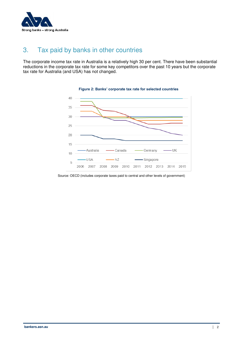

## <span id="page-5-0"></span>3. Tax paid by banks in other countries

The corporate income tax rate in Australia is a relatively high 30 per cent. There have been substantial reductions in the corporate tax rate for some key competitors over the past 10 years but the corporate tax rate for Australia (and USA) has not changed.



### **Figure 2: Banks' corporate tax rate for selected countries**

Source: OECD (includes corporate taxes paid to central and other levels of government)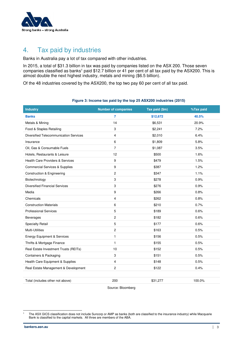

### <span id="page-6-0"></span>4. Tax paid by industries

Banks in Australia pay a lot of tax compared with other industries.

In 2015, a total of \$31.3 billion in tax was paid by companies listed on the ASX 200. Those seven companies classified as banks<sup>1</sup> paid \$12.7 billion or 41 per cent of all tax paid by the ASX200. This is almost double the next highest industry, metals and mining (\$6.5 billion).

Of the 48 industries covered by the ASX200, the top two pay 60 per cent of all tax paid.

| <b>Industry</b>                               | <b>Number of companies</b> | Tax paid (\$m) | %Tax paid |
|-----------------------------------------------|----------------------------|----------------|-----------|
| <b>Banks</b>                                  | 7                          | \$12,672       | 40.5%     |
| Metals & Mining                               | 14                         | \$6,531        | 20.9%     |
| Food & Staples Retailing                      | 3                          | \$2,241        | 7.2%      |
| <b>Diversified Telecommunication Services</b> | $\overline{4}$             | \$2,010        | 6.4%      |
| Insurance                                     | 6                          | \$1,809        | 5.8%      |
| Oil, Gas & Consumable Fuels                   | $\overline{7}$             | \$1,087        | 3.5%      |
| Hotels, Restaurants & Leisure                 | 12                         | \$500          | 1.6%      |
| <b>Health Care Providers &amp; Services</b>   | 9                          | \$479          | 1.5%      |
| <b>Commercial Services &amp; Supplies</b>     | 9                          | \$387          | 1.2%      |
| Construction & Engineering                    | $\overline{c}$             | \$347          | 1.1%      |
| Biotechnology                                 | 3                          | \$278          | 0.9%      |
| <b>Diversified Financial Services</b>         | 3                          | \$276          | 0.9%      |
| Media                                         | 9                          | \$266          | 0.8%      |
| Chemicals                                     | $\overline{4}$             | \$262          | 0.8%      |
| <b>Construction Materials</b>                 | 6                          | \$210          | 0.7%      |
| <b>Professional Services</b>                  | 5                          | \$189          | 0.6%      |
| <b>Beverages</b>                              | 2                          | \$182          | 0.6%      |
| <b>Specialty Retail</b>                       | 5                          | \$177          | 0.6%      |
| <b>Multi-Utilities</b>                        | 2                          | \$163          | 0.5%      |
| <b>Energy Equipment &amp; Services</b>        | 1                          | \$156          | 0.5%      |
| Thrifts & Mortgage Finance                    | $\mathbf{1}$               | \$155          | 0.5%      |
| Real Estate Investment Trusts (REITs)         | 10                         | \$152          | 0.5%      |
| Containers & Packaging                        | 3                          | \$151          | 0.5%      |
| Health Care Equipment & Supplies              | 4                          | \$148          | 0.5%      |
| Real Estate Management & Development          | $\overline{c}$             | \$122          | 0.4%      |
| Total (includes other not above)              | 200                        | \$31,277       | 100.0%    |
|                                               | Source: Bloomberg          |                |           |

#### **Figure 3: Income tax paid by the top 25 ASX200 industries (2015)**

<u>.</u> 1 The ASX GICS classification does not include Suncorp or AMP as banks (both are classified to the insurance industry) while Macquarie Bank is classified to the capital markets. All three are members of the ABA.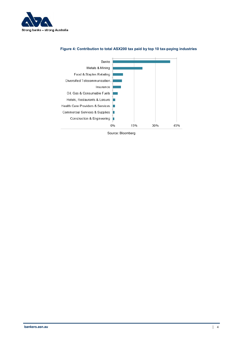



### **Figure 4: Contribution to total ASX200 tax paid by top 10 tax-paying industries**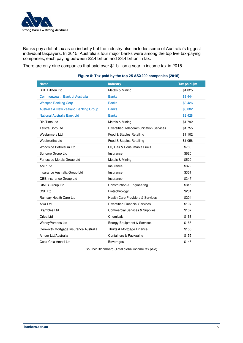

Banks pay a lot of tax as an industry but the industry also includes some of Australia's biggest individual taxpayers. In 2015, Australia's four major banks were among the top five tax-paying companies, each paying between \$2.4 billion and \$3.4 billion in tax.

There are only nine companies that paid over \$1 billion a year in income tax in 2015.

| <b>Name</b>                                      | <b>Industry</b>                             | Tax paid \$m |
|--------------------------------------------------|---------------------------------------------|--------------|
| <b>BHP Billiton Ltd</b>                          | Metals & Mining                             | \$4,025      |
| <b>Commonwealth Bank of Australia</b>            | <b>Banks</b>                                | \$3,444      |
| <b>Westpac Banking Corp</b>                      | <b>Banks</b>                                | \$3,426      |
| <b>Australia &amp; New Zealand Banking Group</b> | <b>Banks</b>                                | \$3,082      |
| National Australia Bank Ltd                      | <b>Banks</b>                                | \$2,428      |
| Rio Tinto Ltd                                    | Metals & Mining                             | \$1,792      |
| <b>Telstra Corp Ltd</b>                          | Diversified Telecommunication Services      | \$1,755      |
| <b>Wesfarmers Ltd</b>                            | Food & Staples Retailing                    | \$1,102      |
| Woolworths Ltd                                   | Food & Staples Retailing                    | \$1,056      |
| Woodside Petroleum Ltd                           | Oil. Gas & Consumable Fuels                 | \$780        |
| Suncorp Group Ltd                                | Insurance                                   | \$620        |
| Fortescue Metals Group Ltd                       | Metals & Mining                             | \$529        |
| <b>AMP Ltd</b>                                   | Insurance                                   | \$379        |
| Insurance Australia Group Ltd                    | Insurance                                   | \$351        |
| QBE Insurance Group Ltd                          | Insurance                                   | \$347        |
| CIMIC Group Ltd                                  | <b>Construction &amp; Engineering</b>       | \$315        |
| CSL Ltd                                          | Biotechnology                               | \$281        |
| Ramsay Health Care Ltd                           | <b>Health Care Providers &amp; Services</b> | \$204        |
| <b>ASX Ltd</b>                                   | <b>Diversified Financial Services</b>       | \$197        |
| <b>Brambles Ltd</b>                              | <b>Commercial Services &amp; Supplies</b>   | \$167        |
| Orica Ltd                                        | Chemicals                                   | \$163        |
| WorleyParsons Ltd                                | <b>Energy Equipment &amp; Services</b>      | \$156        |
| Genworth Mortgage Insurance Australia            | Thrifts & Mortgage Finance                  | \$155        |
| Amcor Ltd/Australia                              | Containers & Packaging                      | \$155        |
| Coca-Cola Amatil Ltd                             | <b>Beverages</b>                            | \$148        |

### **Figure 5: Tax paid by the top 25 ASX200 companies (2015)**

Source: Bloomberg (Total global income tax paid)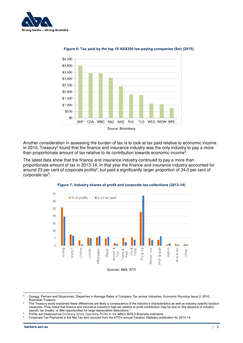



#### **Figure 6: Tax paid by the top 10 ASX200 tax-paying companies (\$m) (2015)**

Another consideration in assessing the burden of tax is to look at tax paid relative to economic income. In 2010, Treasury<sup>2</sup> found that the finance and insurance industry was the only industry to pay a more than proportionate amount of tax relative to its contribution towards economic income<sup>3</sup>.

The latest data show that the finance and insurance industry continued to pay a more than proportionate amount of tax in 2013-14. In that year the finance and insurance industry accounted for around 23 per cent of corporate profits<sup>4</sup>, but paid a significantly larger proportion of 34.0 per cent of corporate tax<sup>5</sup>.



#### **Figure 7: Industry shares of profit and corporate tax collections (2013-14)**

<u>.</u>

<sup>2</sup> Greagg, Parham and Stojanovski; Disparities in Average Rates of Company Tax across Industries, Economic Roundup Issue 2, 2010, Australian Treasury

<sup>3</sup> The Treasury study explained these differences are likely a consequence of the industry's characteristics as well as industry-specific taxation measures. They noted that finance and insurance industry's high tax relative to profit contribution may be due to "the absence of industryspecific tax breaks, or little opportunities for large depreciation deductions."

<sup>4</sup> Profits are measured as Company Gross Operating Profits in the ABS's 5676.0 Business Indicators.

<sup>5</sup> Corporate Tax Payments is the Net Tax item sourced from the ATO's annual Taxation Statistics publication for 2013-14.